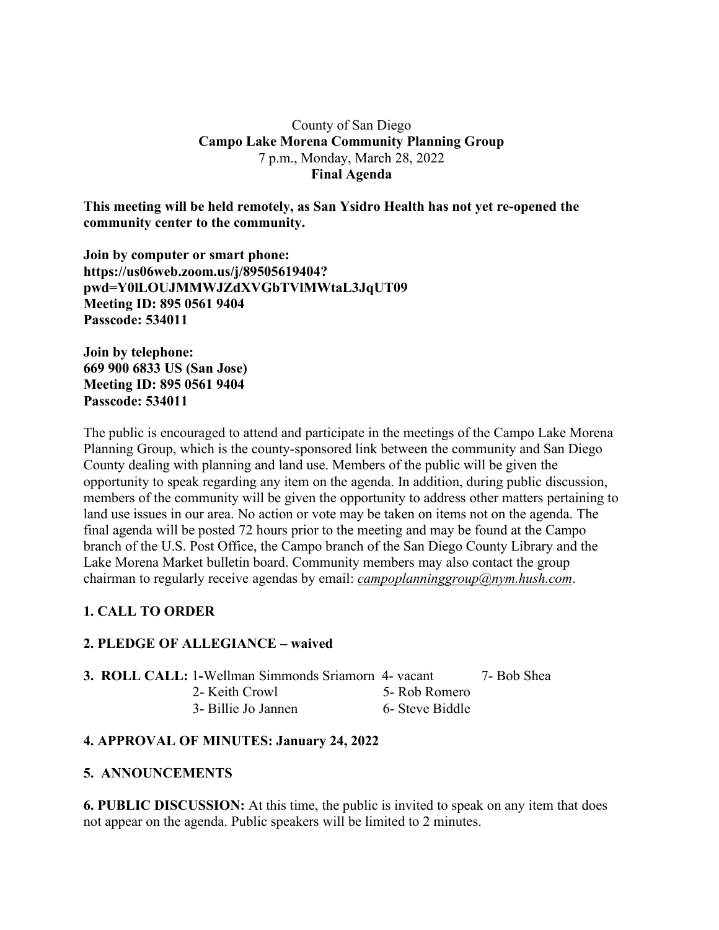## County of San Diego **Campo Lake Morena Community Planning Group** 7 p.m., Monday, March 28, 2022 **Final Agenda**

**This meeting will be held remotely, as San Ysidro Health has not yet re-opened the community center to the community.**

**Join by computer or smart phone: https://us06web.zoom.us/j/89505619404? pwd=Y0lLOUJMMWJZdXVGbTVlMWtaL3JqUT09 Meeting ID: 895 0561 9404 Passcode: 534011**

**Join by telephone: 669 900 6833 US (San Jose) Meeting ID: 895 0561 9404 Passcode: 534011**

The public is encouraged to attend and participate in the meetings of the Campo Lake Morena Planning Group, which is the county-sponsored link between the community and San Diego County dealing with planning and land use. Members of the public will be given the opportunity to speak regarding any item on the agenda. In addition, during public discussion, members of the community will be given the opportunity to address other matters pertaining to land use issues in our area. No action or vote may be taken on items not on the agenda. The final agenda will be posted 72 hours prior to the meeting and may be found at the Campo branch of the U.S. Post Office, the Campo branch of the San Diego County Library and the Lake Morena Market bulletin board. Community members may also contact the group chairman to regularly receive agendas by email: *campoplanninggroup@nym.hush.com*.

# **1. CALL TO ORDER**

# **2. PLEDGE OF ALLEGIANCE – waived**

|  | <b>3. ROLL CALL: 1-Wellman Simmonds Sriamorn 4- vacant</b> |                 | 7- Bob Shea |
|--|------------------------------------------------------------|-----------------|-------------|
|  | 2- Keith Crowl                                             | 5- Rob Romero   |             |
|  | 3- Billie Jo Jannen                                        | 6- Steve Biddle |             |

# **4. APPROVAL OF MINUTES: January 24, 2022**

## **5. ANNOUNCEMENTS**

**6. PUBLIC DISCUSSION:** At this time, the public is invited to speak on any item that does not appear on the agenda. Public speakers will be limited to 2 minutes.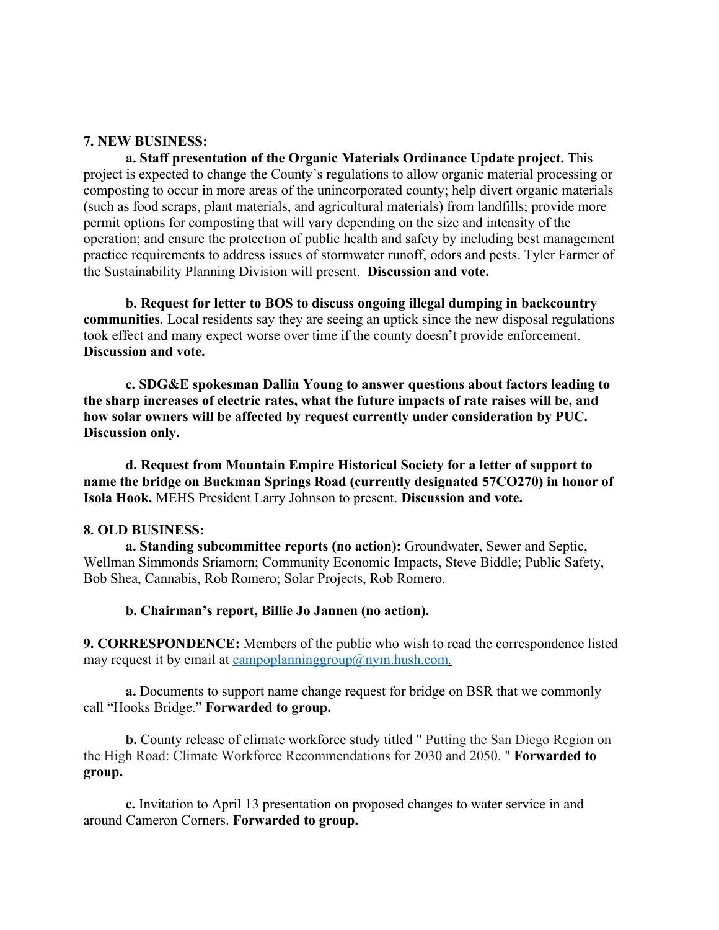## **7. NEW BUSINESS:**

**a. Staff presentation of the Organic Materials Ordinance Update project.** This project is expected to change the County's regulations to allow organic material processing or composting to occur in more areas of the unincorporated county; help divert organic materials (such as food scraps, plant materials, and agricultural materials) from landfills; provide more permit options for composting that will vary depending on the size and intensity of the operation; and ensure the protection of public health and safety by including best management practice requirements to address issues of stormwater runoff, odors and pests. Tyler Farmer of the Sustainability Planning Division will present. **Discussion and vote.**

**b. Request for letter to BOS to discuss ongoing illegal dumping in backcountry communities**. Local residents say they are seeing an uptick since the new disposal regulations took effect and many expect worse over time if the county doesn't provide enforcement. **Discussion and vote.**

**c. SDG&E spokesman Dallin Young to answer questions about factors leading to the sharp increases of electric rates, what the future impacts of rate raises will be, and how solar owners will be affected by request currently under consideration by PUC. Discussion only.**

**d. Request from Mountain Empire Historical Society for a letter of support to name the bridge on Buckman Springs Road (currently designated 57CO270) in honor of Isola Hook.** MEHS President Larry Johnson to present. **Discussion and vote.**

### **8. OLD BUSINESS:**

**a. Standing subcommittee reports (no action):** Groundwater, Sewer and Septic, Wellman Simmonds Sriamorn; Community Economic Impacts, Steve Biddle; Public Safety, Bob Shea, Cannabis, Rob Romero; Solar Projects, Rob Romero.

### **b. Chairman's report, Billie Jo Jannen (no action).**

**9. CORRESPONDENCE:** Members of the public who wish to read the correspondence listed may request it by email at campoplanninggroup@nym.hush.com.

**a.** Documents to support name change request for bridge on BSR that we commonly call "Hooks Bridge." **Forwarded to group.**

**b.** County release of climate workforce study titled " Putting the San Diego Region on the High Road: Climate Workforce Recommendations for 2030 and 2050. " **Forwarded to group.**

**c.** Invitation to April 13 presentation on proposed changes to water service in and around Cameron Corners. **Forwarded to group.**